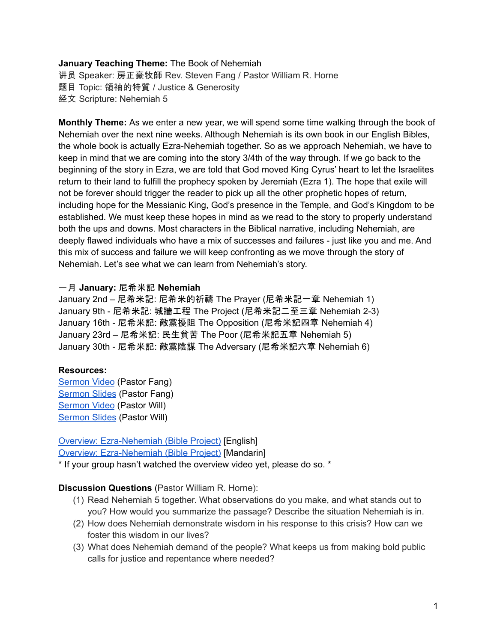### **January Teaching Theme:** The Book of Nehemiah

讲员 Speaker: 房正豪牧師 Rev. Steven Fang / Pastor William R. Horne 题目 Topic: 領袖的特質 / Justice & Generosity 经文 Scripture: Nehemiah 5

**Monthly Theme:** As we enter a new year, we will spend some time walking through the book of Nehemiah over the next nine weeks. Although Nehemiah is its own book in our English Bibles, the whole book is actually Ezra-Nehemiah together. So as we approach Nehemiah, we have to keep in mind that we are coming into the story 3/4th of the way through. If we go back to the beginning of the story in Ezra, we are told that God moved King Cyrus' heart to let the Israelites return to their land to fulfill the prophecy spoken by Jeremiah (Ezra 1). The hope that exile will not be forever should trigger the reader to pick up all the other prophetic hopes of return, including hope for the Messianic King, God's presence in the Temple, and God's Kingdom to be established. We must keep these hopes in mind as we read to the story to properly understand both the ups and downs. Most characters in the Biblical narrative, including Nehemiah, are deeply flawed individuals who have a mix of successes and failures - just like you and me. And this mix of success and failure we will keep confronting as we move through the story of Nehemiah. Let's see what we can learn from Nehemiah's story.

### 一月 **January:** 尼希米記 **Nehemiah**

January 2nd – 尼希米記: 尼希米的祈禱 The Prayer (尼希米記一章 Nehemiah 1) January 9th - 尼希米記: 城牆工程 The Project (尼希米記二至三章 Nehemiah 2-3) January 16th - 尼希米記: 敵黨擾阻 The Opposition (尼希米記四章 Nehemiah 4) January 23rd – 尼希米記: 民生貧苦 The Poor (尼希米記五章 Nehemiah 5) January 30th - 尼希米記: 敵黨陰謀 The Adversary (尼希米記六章 Nehemiah 6)

#### **Resources:**

[Sermon](https://youtu.be/rtSMHBbqo8U?t=2959) Video (Pastor Fang) [Sermon](https://docs.google.com/presentation/d/1eDGmd46ewbqG6agHBGQkII5BoRskYXnr/edit?usp=sharing&ouid=111022305003760555164&rtpof=true&sd=true) Slides (Pastor Fang) [Sermon](https://youtu.be/rtSMHBbqo8U?t=8174) Video (Pastor Will) [Sermon](https://docs.google.com/presentation/d/1i5eUz3RBS-_GcqngRqgrqmdmCJomj3sKCq4xv3buzVA/edit?usp=sharing) Slides (Pastor Will)

# Overview: [Ezra-Nehemiah](https://bibleproject.com/explore/video/ezra-nehemiah/) (Bible Project) [English]

Overview: [Ezra-Nehemiah](https://www.youtube.com/watch?v=S4pg2h8DOM4&list=PLE-R0uydm0uN0xKD3tw0aheiQojlf1JB1&index=37) (Bible Project) [Mandarin]

\* If your group hasn't watched the overview video yet, please do so. \*

#### **Discussion Questions** (Pastor William R. Horne):

- (1) Read Nehemiah 5 together. What observations do you make, and what stands out to you? How would you summarize the passage? Describe the situation Nehemiah is in.
- (2) How does Nehemiah demonstrate wisdom in his response to this crisis? How can we foster this wisdom in our lives?
- (3) What does Nehemiah demand of the people? What keeps us from making bold public calls for justice and repentance where needed?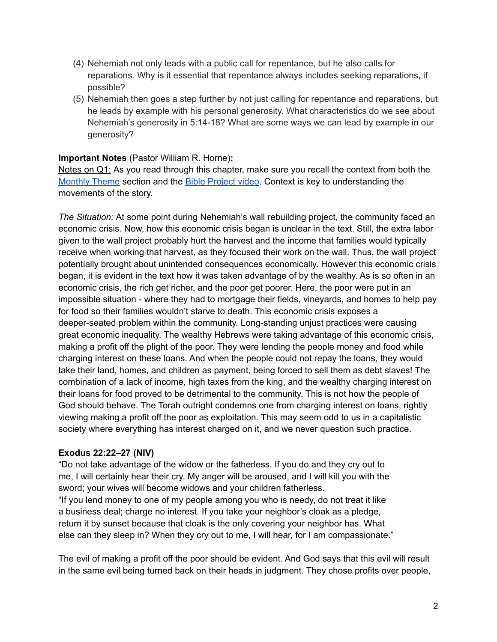- (4) Nehemiah not only leads with a public call for repentance, but he also calls for reparations. Why is it essential that repentance always includes seeking reparations, if possible?
- (5) Nehemiah then goes a step further by not just calling for repentance and reparations, but he leads by example with his personal generosity. What characteristics do we see about Nehemiah's generosity in 5:14-18? What are some ways we can lead by example in our generosity?

### **Important Notes** (Pastor William R. Horne)**:**

Notes on Q1: As you read through this chapter, make sure you recall the context from both the [Monthly](https://docs.google.com/document/d/1kdIsb1XcIs7gpJh6mmgzNf6Jnqwm4iO9jFQe6U3OtNY/edit#bookmark=id.ldbe2mqdl12r) Theme section and the Bible [Project](https://docs.google.com/document/d/1kdIsb1XcIs7gpJh6mmgzNf6Jnqwm4iO9jFQe6U3OtNY/edit#bookmark=id.d2puhpmovfox) video. Context is key to understanding the movements of the story.

*The Situation:* At some point during Nehemiah's wall rebuilding project, the community faced an economic crisis. Now, how this economic crisis began is unclear in the text. Still, the extra labor given to the wall project probably hurt the harvest and the income that families would typically receive when working that harvest, as they focused their work on the wall. Thus, the wall project potentially brought about unintended consequences economically. However this economic crisis began, it is evident in the text how it was taken advantage of by the wealthy. As is so often in an economic crisis, the rich get richer, and the poor get poorer. Here, the poor were put in an impossible situation - where they had to mortgage their fields, vineyards, and homes to help pay for food so their families wouldn't starve to death. This economic crisis exposes a deeper-seated problem within the community. Long-standing unjust practices were causing great economic inequality. The wealthy Hebrews were taking advantage of this economic crisis, making a profit off the plight of the poor. They were lending the people money and food while charging interest on these loans. And when the people could not repay the loans, they would take their land, homes, and children as payment, being forced to sell them as debt slaves! The combination of a lack of income, high taxes from the king, and the wealthy charging interest on their loans for food proved to be detrimental to the community. This is not how the people of God should behave. The Torah outright condemns one from charging interest on loans, rightly viewing making a profit off the poor as exploitation. This may seem odd to us in a capitalistic society where everything has interest charged on it, and we never question such practice.

#### **Exodus 22:22–27 (NIV)**

"Do not take advantage of the widow or the fatherless. If you do and they cry out to me, I will certainly hear their cry. My anger will be aroused, and I will kill you with the sword; your wives will become widows and your children fatherless. "If you lend money to one of my people among you who is needy, do not treat it like a business deal; charge no interest. If you take your neighbor's cloak as a pledge, return it by sunset because that cloak is the only covering your neighbor has. What else can they sleep in? When they cry out to me, I will hear, for I am compassionate."

The evil of making a profit off the poor should be evident. And God says that this evil will result in the same evil being turned back on their heads in judgment. They chose profits over people,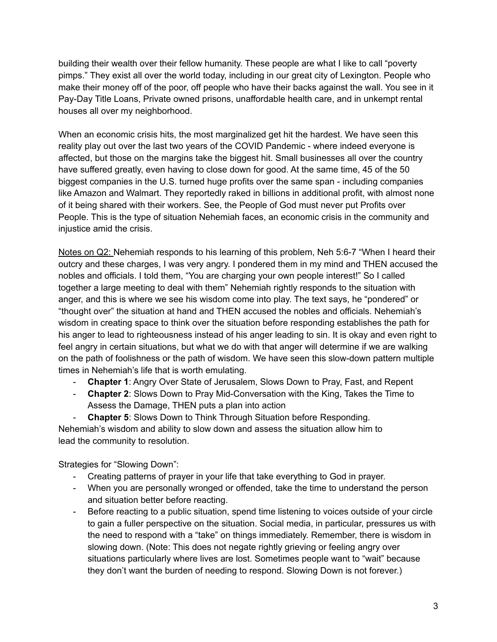building their wealth over their fellow humanity. These people are what I like to call "poverty pimps." They exist all over the world today, including in our great city of Lexington. People who make their money off of the poor, off people who have their backs against the wall. You see in it Pay-Day Title Loans, Private owned prisons, unaffordable health care, and in unkempt rental houses all over my neighborhood.

When an economic crisis hits, the most marginalized get hit the hardest. We have seen this reality play out over the last two years of the COVID Pandemic - where indeed everyone is affected, but those on the margins take the biggest hit. Small businesses all over the country have suffered greatly, even having to close down for good. At the same time, 45 of the 50 biggest companies in the U.S. turned huge profits over the same span - including companies like Amazon and Walmart. They reportedly raked in billions in additional profit, with almost none of it being shared with their workers. See, the People of God must never put Profits over People. This is the type of situation Nehemiah faces, an economic crisis in the community and injustice amid the crisis.

Notes on Q2: Nehemiah responds to his learning of this problem, Neh 5:6-7 "When I heard their outcry and these charges, I was very angry. I pondered them in my mind and THEN accused the nobles and officials. I told them, "You are charging your own people interest!" So I called together a large meeting to deal with them" Nehemiah rightly responds to the situation with anger, and this is where we see his wisdom come into play. The text says, he "pondered" or "thought over" the situation at hand and THEN accused the nobles and officials. Nehemiah's wisdom in creating space to think over the situation before responding establishes the path for his anger to lead to righteousness instead of his anger leading to sin. It is okay and even right to feel angry in certain situations, but what we do with that anger will determine if we are walking on the path of foolishness or the path of wisdom. We have seen this slow-down pattern multiple times in Nehemiah's life that is worth emulating.

- **Chapter 1**: Angry Over State of Jerusalem, Slows Down to Pray, Fast, and Repent
- **Chapter 2**: Slows Down to Pray Mid-Conversation with the King, Takes the Time to Assess the Damage, THEN puts a plan into action

- **Chapter 5**: Slows Down to Think Through Situation before Responding.

Nehemiah's wisdom and ability to slow down and assess the situation allow him to lead the community to resolution.

Strategies for "Slowing Down":

- Creating patterns of prayer in your life that take everything to God in prayer.
- When you are personally wronged or offended, take the time to understand the person and situation better before reacting.
- Before reacting to a public situation, spend time listening to voices outside of your circle to gain a fuller perspective on the situation. Social media, in particular, pressures us with the need to respond with a "take" on things immediately. Remember, there is wisdom in slowing down. (Note: This does not negate rightly grieving or feeling angry over situations particularly where lives are lost. Sometimes people want to "wait" because they don't want the burden of needing to respond. Slowing Down is not forever.)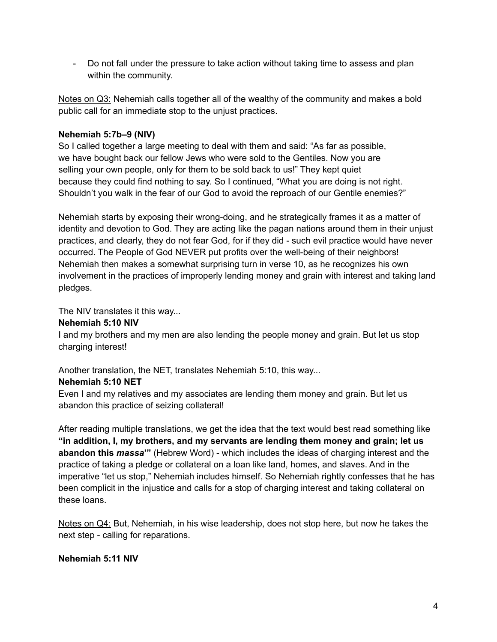- Do not fall under the pressure to take action without taking time to assess and plan within the community.

Notes on Q3: Nehemiah calls together all of the wealthy of the community and makes a bold public call for an immediate stop to the unjust practices.

## **Nehemiah 5:7b–9 (NIV)**

So I called together a large meeting to deal with them and said: "As far as possible, we have bought back our fellow Jews who were sold to the Gentiles. Now you are selling your own people, only for them to be sold back to us!" They kept quiet because they could find nothing to say. So I continued, "What you are doing is not right. Shouldn't you walk in the fear of our God to avoid the reproach of our Gentile enemies?"

Nehemiah starts by exposing their wrong-doing, and he strategically frames it as a matter of identity and devotion to God. They are acting like the pagan nations around them in their unjust practices, and clearly, they do not fear God, for if they did - such evil practice would have never occurred. The People of God NEVER put profits over the well-being of their neighbors! Nehemiah then makes a somewhat surprising turn in verse 10, as he recognizes his own involvement in the practices of improperly lending money and grain with interest and taking land pledges.

The NIV translates it this way...

### **Nehemiah 5:10 NIV**

I and my brothers and my men are also lending the people money and grain. But let us stop charging interest!

Another translation, the NET, translates Nehemiah 5:10, this way...

# **Nehemiah 5:10 NET**

Even I and my relatives and my associates are lending them money and grain. But let us abandon this practice of seizing collateral!

After reading multiple translations, we get the idea that the text would best read something like **"in addition, I, my brothers, and my servants are lending them money and grain; let us abandon this** *massa***'"** (Hebrew Word) - which includes the ideas of charging interest and the practice of taking a pledge or collateral on a loan like land, homes, and slaves. And in the imperative "let us stop," Nehemiah includes himself. So Nehemiah rightly confesses that he has been complicit in the injustice and calls for a stop of charging interest and taking collateral on these loans.

Notes on Q4: But, Nehemiah, in his wise leadership, does not stop here, but now he takes the next step - calling for reparations.

# **Nehemiah 5:11 NIV**